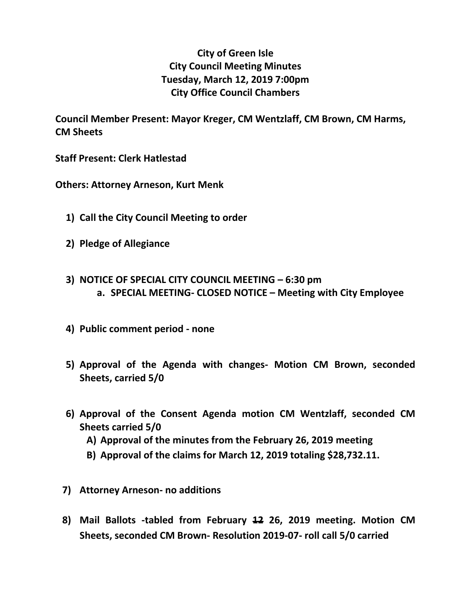## **City of Green Isle City Council Meeting Minutes Tuesday, March 12, 2019 7:00pm City Office Council Chambers**

**Council Member Present: Mayor Kreger, CM Wentzlaff, CM Brown, CM Harms, CM Sheets**

**Staff Present: Clerk Hatlestad**

**Others: Attorney Arneson, Kurt Menk**

- **1) Call the City Council Meeting to order**
- **2) Pledge of Allegiance**
- **3) NOTICE OF SPECIAL CITY COUNCIL MEETING – 6:30 pm a. SPECIAL MEETING- CLOSED NOTICE – Meeting with City Employee**
- **4) Public comment period - none**
- **5) Approval of the Agenda with changes- Motion CM Brown, seconded Sheets, carried 5/0**
- **6) Approval of the Consent Agenda motion CM Wentzlaff, seconded CM Sheets carried 5/0**
	- **A) Approval of the minutes from the February 26, 2019 meeting**
	- **B) Approval of the claims for March 12, 2019 totaling \$28,732.11.**
- **7) Attorney Arneson- no additions**
- **8) Mail Ballots -tabled from February 12 26, 2019 meeting. Motion CM Sheets, seconded CM Brown- Resolution 2019-07- roll call 5/0 carried**